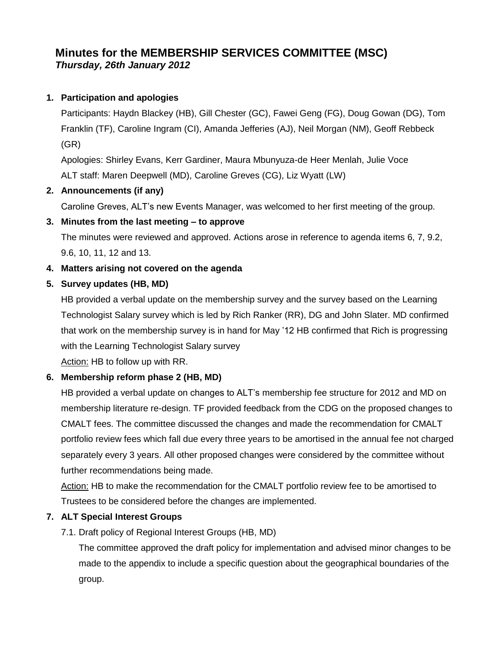# **Minutes for the MEMBERSHIP SERVICES COMMITTEE (MSC)** *Thursday, 26th January 2012*

## **1. Participation and apologies**

Participants: Haydn Blackey (HB), Gill Chester (GC), Fawei Geng (FG), Doug Gowan (DG), Tom Franklin (TF), Caroline Ingram (CI), Amanda Jefferies (AJ), Neil Morgan (NM), Geoff Rebbeck (GR)

Apologies: Shirley Evans, Kerr Gardiner, Maura Mbunyuza-de Heer Menlah, Julie Voce ALT staff: Maren Deepwell (MD), Caroline Greves (CG), Liz Wyatt (LW)

#### **2. Announcements (if any)**

Caroline Greves, ALT's new Events Manager, was welcomed to her first meeting of the group.

# **3. Minutes from the last meeting – to approve**

The minutes were reviewed and approved. Actions arose in reference to agenda items 6, 7, 9.2, 9.6, 10, 11, 12 and 13.

# **4. Matters arising not covered on the agenda**

# **5. Survey updates (HB, MD)**

HB provided a verbal update on the membership survey and the survey based on the Learning Technologist Salary survey which is led by Rich Ranker (RR), DG and John Slater. MD confirmed that work on the membership survey is in hand for May '12 HB confirmed that Rich is progressing with the Learning Technologist Salary survey

Action: HB to follow up with RR.

# **6. Membership reform phase 2 (HB, MD)**

HB provided a verbal update on changes to ALT's membership fee structure for 2012 and MD on membership literature re-design. TF provided feedback from the CDG on the proposed changes to CMALT fees. The committee discussed the changes and made the recommendation for CMALT portfolio review fees which fall due every three years to be amortised in the annual fee not charged separately every 3 years. All other proposed changes were considered by the committee without further recommendations being made.

Action: HB to make the recommendation for the CMALT portfolio review fee to be amortised to Trustees to be considered before the changes are implemented.

# **7. ALT Special Interest Groups**

7.1. Draft policy of Regional Interest Groups (HB, MD)

The committee approved the draft policy for implementation and advised minor changes to be made to the appendix to include a specific question about the geographical boundaries of the group.